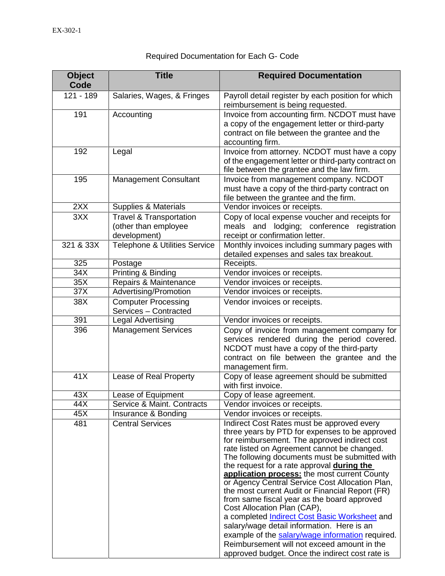| <b>Object</b><br>Code | <b>Title</b>                                                               | <b>Required Documentation</b>                                                                                                                                                                                                                                                                                                                                                                                                                                                                                                                                                                                                                                                                                                                                                                |
|-----------------------|----------------------------------------------------------------------------|----------------------------------------------------------------------------------------------------------------------------------------------------------------------------------------------------------------------------------------------------------------------------------------------------------------------------------------------------------------------------------------------------------------------------------------------------------------------------------------------------------------------------------------------------------------------------------------------------------------------------------------------------------------------------------------------------------------------------------------------------------------------------------------------|
| 121 - 189             | Salaries, Wages, & Fringes                                                 | Payroll detail register by each position for which<br>reimbursement is being requested.                                                                                                                                                                                                                                                                                                                                                                                                                                                                                                                                                                                                                                                                                                      |
| 191                   | Accounting                                                                 | Invoice from accounting firm. NCDOT must have<br>a copy of the engagement letter or third-party<br>contract on file between the grantee and the<br>accounting firm.                                                                                                                                                                                                                                                                                                                                                                                                                                                                                                                                                                                                                          |
| 192                   | Legal                                                                      | Invoice from attorney. NCDOT must have a copy<br>of the engagement letter or third-party contract on<br>file between the grantee and the law firm.                                                                                                                                                                                                                                                                                                                                                                                                                                                                                                                                                                                                                                           |
| 195                   | <b>Management Consultant</b>                                               | Invoice from management company. NCDOT<br>must have a copy of the third-party contract on<br>file between the grantee and the firm.                                                                                                                                                                                                                                                                                                                                                                                                                                                                                                                                                                                                                                                          |
| 2XX                   | Supplies & Materials                                                       | Vendor invoices or receipts.                                                                                                                                                                                                                                                                                                                                                                                                                                                                                                                                                                                                                                                                                                                                                                 |
| 3XX                   | <b>Travel &amp; Transportation</b><br>(other than employee<br>development) | Copy of local expense voucher and receipts for<br>lodging; conference registration<br>meals and<br>receipt or confirmation letter.                                                                                                                                                                                                                                                                                                                                                                                                                                                                                                                                                                                                                                                           |
| 321 & 33X             | Telephone & Utilities Service                                              | Monthly invoices including summary pages with<br>detailed expenses and sales tax breakout.                                                                                                                                                                                                                                                                                                                                                                                                                                                                                                                                                                                                                                                                                                   |
| 325                   | Postage                                                                    | Receipts.                                                                                                                                                                                                                                                                                                                                                                                                                                                                                                                                                                                                                                                                                                                                                                                    |
| $\overline{34}$ X     | Printing & Binding                                                         | Vendor invoices or receipts.                                                                                                                                                                                                                                                                                                                                                                                                                                                                                                                                                                                                                                                                                                                                                                 |
| 35X                   | Repairs & Maintenance                                                      | Vendor invoices or receipts.                                                                                                                                                                                                                                                                                                                                                                                                                                                                                                                                                                                                                                                                                                                                                                 |
| 37X                   | Advertising/Promotion                                                      | Vendor invoices or receipts.                                                                                                                                                                                                                                                                                                                                                                                                                                                                                                                                                                                                                                                                                                                                                                 |
| 38X                   | <b>Computer Processing</b><br>Services - Contracted                        | Vendor invoices or receipts.                                                                                                                                                                                                                                                                                                                                                                                                                                                                                                                                                                                                                                                                                                                                                                 |
| 391                   | <b>Legal Advertising</b>                                                   | Vendor invoices or receipts.                                                                                                                                                                                                                                                                                                                                                                                                                                                                                                                                                                                                                                                                                                                                                                 |
| 396                   | <b>Management Services</b>                                                 | Copy of invoice from management company for<br>services rendered during the period covered.<br>NCDOT must have a copy of the third-party<br>contract on file between the grantee and the<br>management firm.                                                                                                                                                                                                                                                                                                                                                                                                                                                                                                                                                                                 |
| 41X                   | Lease of Real Property                                                     | Copy of lease agreement should be submitted<br>with first invoice.                                                                                                                                                                                                                                                                                                                                                                                                                                                                                                                                                                                                                                                                                                                           |
| 43X                   | Lease of Equipment                                                         | Copy of lease agreement.                                                                                                                                                                                                                                                                                                                                                                                                                                                                                                                                                                                                                                                                                                                                                                     |
| 44X                   | Service & Maint. Contracts                                                 | Vendor invoices or receipts.                                                                                                                                                                                                                                                                                                                                                                                                                                                                                                                                                                                                                                                                                                                                                                 |
| 45X                   | Insurance & Bonding                                                        | Vendor invoices or receipts.                                                                                                                                                                                                                                                                                                                                                                                                                                                                                                                                                                                                                                                                                                                                                                 |
| 481                   | <b>Central Services</b>                                                    | Indirect Cost Rates must be approved every<br>three years by PTD for expenses to be approved<br>for reimbursement. The approved indirect cost<br>rate listed on Agreement cannot be changed.<br>The following documents must be submitted with<br>the request for a rate approval during the<br>application process: the most current County<br>or Agency Central Service Cost Allocation Plan,<br>the most current Audit or Financial Report (FR)<br>from same fiscal year as the board approved<br>Cost Allocation Plan (CAP),<br>a completed <i>Indirect Cost Basic Worksheet</i> and<br>salary/wage detail information. Here is an<br>example of the salary/wage information required.<br>Reimbursement will not exceed amount in the<br>approved budget. Once the indirect cost rate is |

## Required Documentation for Each G- Code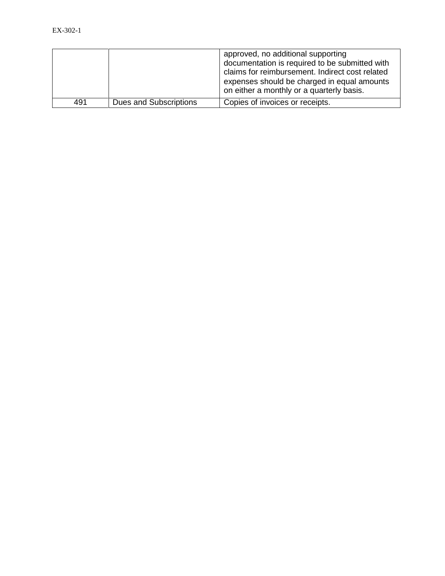|     |                        | approved, no additional supporting<br>documentation is required to be submitted with<br>claims for reimbursement. Indirect cost related<br>expenses should be charged in equal amounts<br>on either a monthly or a quarterly basis. |
|-----|------------------------|-------------------------------------------------------------------------------------------------------------------------------------------------------------------------------------------------------------------------------------|
| 491 | Dues and Subscriptions | Copies of invoices or receipts.                                                                                                                                                                                                     |